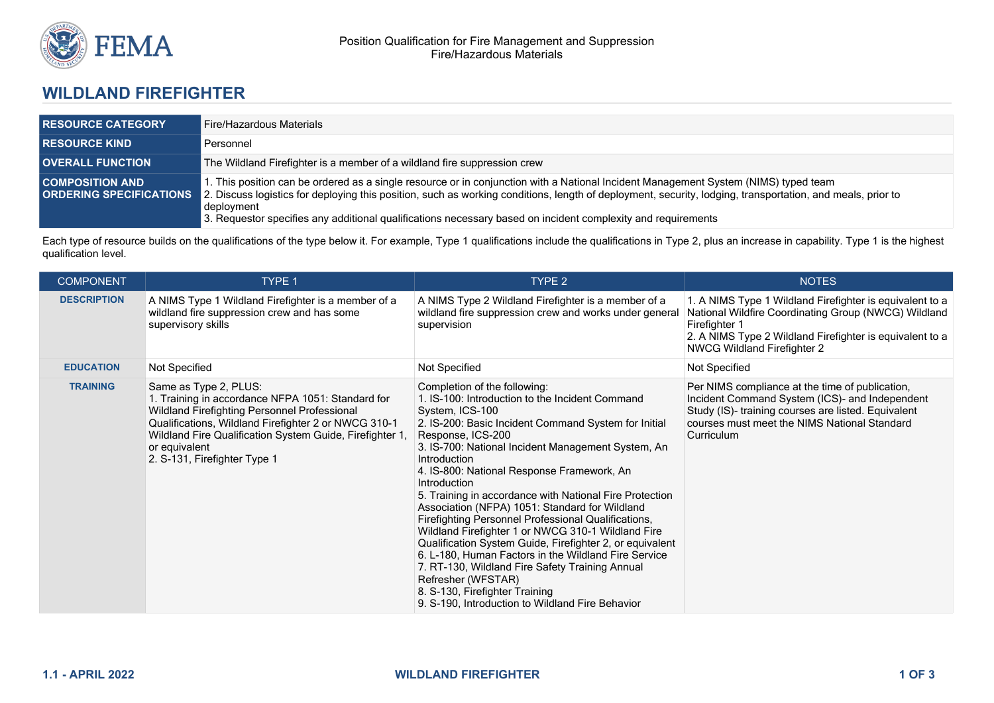

## **WILDLAND FIREFIGHTER**

| <b>RESOURCE CATEGORY</b> | <b>Fire/Hazardous Materials</b>                                                                                                                                                                                                                                                                                                                                                                                                                                |
|--------------------------|----------------------------------------------------------------------------------------------------------------------------------------------------------------------------------------------------------------------------------------------------------------------------------------------------------------------------------------------------------------------------------------------------------------------------------------------------------------|
| <b>RESOURCE KIND</b>     | Personnel                                                                                                                                                                                                                                                                                                                                                                                                                                                      |
| <b>OVERALL FUNCTION</b>  | The Wildland Firefighter is a member of a wildland fire suppression crew                                                                                                                                                                                                                                                                                                                                                                                       |
| <b>COMPOSITION AND</b>   | 1. This position can be ordered as a single resource or in conjunction with a National Incident Management System (NIMS) typed team<br><b>ORDERING SPECIFICATIONS</b> 2. Discuss logistics for deploying this position, such as working conditions, length of deployment, security, lodging, transportation, and meals, prior to<br>deployment<br>3. Requestor specifies any additional qualifications necessary based on incident complexity and requirements |

Each type of resource builds on the qualifications of the type below it. For example, Type 1 qualifications include the qualifications in Type 2, plus an increase in capability. Type 1 is the highest qualification level.

| <b>COMPONENT</b>   | TYPE 1                                                                                                                                                                                                                                                                                          | TYPE 2                                                                                                                                                                                                                                                                                                                                                                                                                                                                                                                                                                                                                                                                                                                                                                                                                           | <b>NOTES</b>                                                                                                                                                                                                                 |
|--------------------|-------------------------------------------------------------------------------------------------------------------------------------------------------------------------------------------------------------------------------------------------------------------------------------------------|----------------------------------------------------------------------------------------------------------------------------------------------------------------------------------------------------------------------------------------------------------------------------------------------------------------------------------------------------------------------------------------------------------------------------------------------------------------------------------------------------------------------------------------------------------------------------------------------------------------------------------------------------------------------------------------------------------------------------------------------------------------------------------------------------------------------------------|------------------------------------------------------------------------------------------------------------------------------------------------------------------------------------------------------------------------------|
| <b>DESCRIPTION</b> | A NIMS Type 1 Wildland Firefighter is a member of a<br>wildland fire suppression crew and has some<br>supervisory skills                                                                                                                                                                        | A NIMS Type 2 Wildland Firefighter is a member of a<br>wildland fire suppression crew and works under general<br>supervision                                                                                                                                                                                                                                                                                                                                                                                                                                                                                                                                                                                                                                                                                                     | 1. A NIMS Type 1 Wildland Firefighter is equivalent to a<br>National Wildfire Coordinating Group (NWCG) Wildland<br>Firefighter 1<br>2. A NIMS Type 2 Wildland Firefighter is equivalent to a<br>NWCG Wildland Firefighter 2 |
| <b>EDUCATION</b>   | Not Specified                                                                                                                                                                                                                                                                                   | Not Specified                                                                                                                                                                                                                                                                                                                                                                                                                                                                                                                                                                                                                                                                                                                                                                                                                    | Not Specified                                                                                                                                                                                                                |
| <b>TRAINING</b>    | Same as Type 2, PLUS:<br>1. Training in accordance NFPA 1051: Standard for<br>Wildland Firefighting Personnel Professional<br>Qualifications, Wildland Firefighter 2 or NWCG 310-1<br>Wildland Fire Qualification System Guide, Firefighter 1,<br>or equivalent<br>2. S-131, Firefighter Type 1 | Completion of the following:<br>1. IS-100: Introduction to the Incident Command<br>System, ICS-100<br>2. IS-200: Basic Incident Command System for Initial<br>Response, ICS-200<br>3. IS-700: National Incident Management System, An<br>Introduction<br>4. IS-800: National Response Framework, An<br>Introduction<br>5. Training in accordance with National Fire Protection<br>Association (NFPA) 1051: Standard for Wildland<br>Firefighting Personnel Professional Qualifications,<br>Wildland Firefighter 1 or NWCG 310-1 Wildland Fire<br>Qualification System Guide, Firefighter 2, or equivalent<br>6. L-180, Human Factors in the Wildland Fire Service<br>7. RT-130, Wildland Fire Safety Training Annual<br>Refresher (WFSTAR)<br>8. S-130, Firefighter Training<br>9. S-190, Introduction to Wildland Fire Behavior | Per NIMS compliance at the time of publication,<br>Incident Command System (ICS)- and Independent<br>Study (IS)- training courses are listed. Equivalent<br>courses must meet the NIMS National Standard<br>Curriculum       |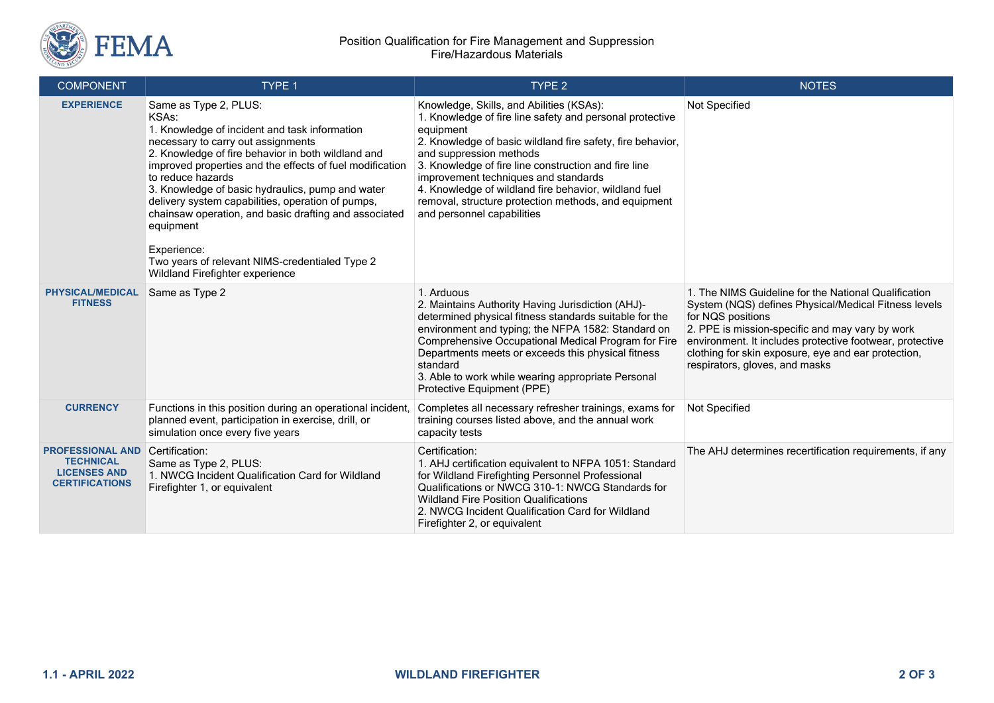

## Position Qualification for Fire Management and Suppression Fire/Hazardous Materials

| <b>COMPONENT</b>                                                                            | TYPE <sub>1</sub>                                                                                                                                                                                                                                                                                                                                                                                                                                                                                                                               | TYPE <sub>2</sub>                                                                                                                                                                                                                                                                                                                                                                                                                                         | <b>NOTES</b>                                                                                                                                                                                                                                                                                                                              |
|---------------------------------------------------------------------------------------------|-------------------------------------------------------------------------------------------------------------------------------------------------------------------------------------------------------------------------------------------------------------------------------------------------------------------------------------------------------------------------------------------------------------------------------------------------------------------------------------------------------------------------------------------------|-----------------------------------------------------------------------------------------------------------------------------------------------------------------------------------------------------------------------------------------------------------------------------------------------------------------------------------------------------------------------------------------------------------------------------------------------------------|-------------------------------------------------------------------------------------------------------------------------------------------------------------------------------------------------------------------------------------------------------------------------------------------------------------------------------------------|
| <b>EXPERIENCE</b>                                                                           | Same as Type 2, PLUS:<br>KSAs:<br>1. Knowledge of incident and task information<br>necessary to carry out assignments<br>2. Knowledge of fire behavior in both wildland and<br>improved properties and the effects of fuel modification<br>to reduce hazards<br>3. Knowledge of basic hydraulics, pump and water<br>delivery system capabilities, operation of pumps,<br>chainsaw operation, and basic drafting and associated<br>equipment<br>Experience:<br>Two years of relevant NIMS-credentialed Type 2<br>Wildland Firefighter experience | Knowledge, Skills, and Abilities (KSAs):<br>1. Knowledge of fire line safety and personal protective<br>equipment<br>2. Knowledge of basic wildland fire safety, fire behavior,<br>and suppression methods<br>3. Knowledge of fire line construction and fire line<br>improvement techniques and standards<br>4. Knowledge of wildland fire behavior, wildland fuel<br>removal, structure protection methods, and equipment<br>and personnel capabilities | Not Specified                                                                                                                                                                                                                                                                                                                             |
| <b>PHYSICAL/MEDICAL</b><br><b>FITNESS</b>                                                   | Same as Type 2                                                                                                                                                                                                                                                                                                                                                                                                                                                                                                                                  | 1. Arduous<br>2. Maintains Authority Having Jurisdiction (AHJ)-<br>determined physical fitness standards suitable for the<br>environment and typing; the NFPA 1582: Standard on<br>Comprehensive Occupational Medical Program for Fire<br>Departments meets or exceeds this physical fitness<br>standard<br>3. Able to work while wearing appropriate Personal<br>Protective Equipment (PPE)                                                              | 1. The NIMS Guideline for the National Qualification<br>System (NQS) defines Physical/Medical Fitness levels<br>for NQS positions<br>2. PPE is mission-specific and may vary by work<br>environment. It includes protective footwear, protective<br>clothing for skin exposure, eye and ear protection,<br>respirators, gloves, and masks |
| <b>CURRENCY</b>                                                                             | Functions in this position during an operational incident<br>planned event, participation in exercise, drill, or<br>simulation once every five years                                                                                                                                                                                                                                                                                                                                                                                            | Completes all necessary refresher trainings, exams for<br>training courses listed above, and the annual work<br>capacity tests                                                                                                                                                                                                                                                                                                                            | Not Specified                                                                                                                                                                                                                                                                                                                             |
| <b>PROFESSIONAL AND</b><br><b>TECHNICAL</b><br><b>LICENSES AND</b><br><b>CERTIFICATIONS</b> | Certification:<br>Same as Type 2, PLUS:<br>1. NWCG Incident Qualification Card for Wildland<br>Firefighter 1, or equivalent                                                                                                                                                                                                                                                                                                                                                                                                                     | Certification:<br>1. AHJ certification equivalent to NFPA 1051: Standard<br>for Wildland Firefighting Personnel Professional<br>Qualifications or NWCG 310-1: NWCG Standards for<br><b>Wildland Fire Position Qualifications</b><br>2. NWCG Incident Qualification Card for Wildland<br>Firefighter 2, or equivalent                                                                                                                                      | The AHJ determines recertification requirements, if any                                                                                                                                                                                                                                                                                   |